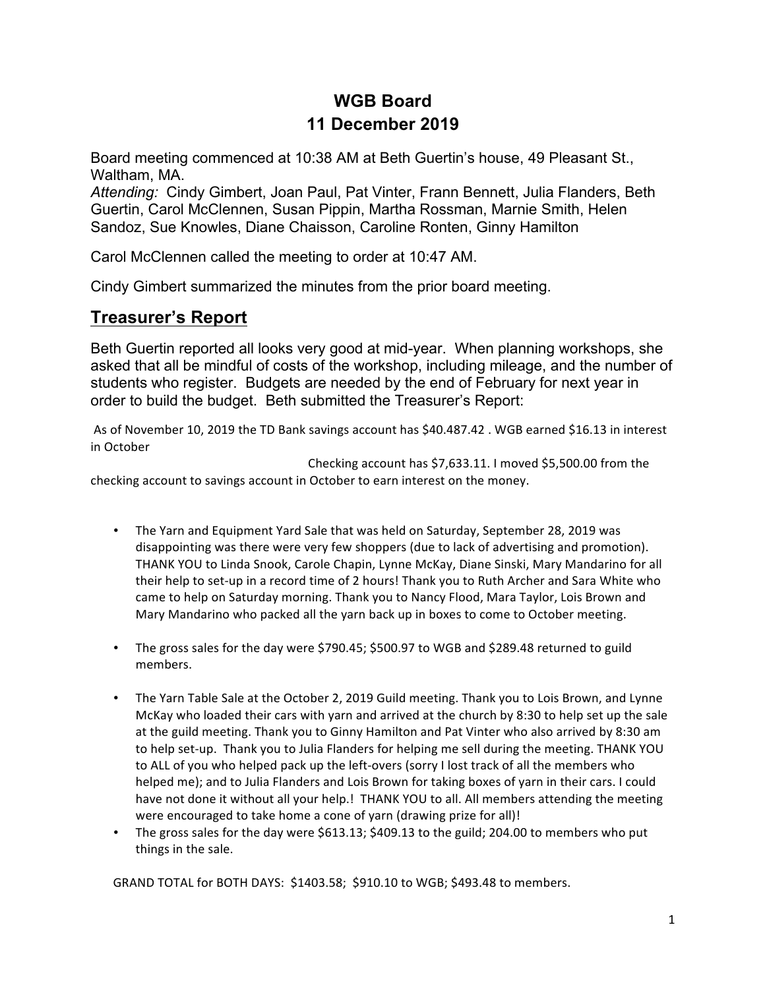# **WGB Board 11 December 2019**

Board meeting commenced at 10:38 AM at Beth Guertin's house, 49 Pleasant St., Waltham, MA.

*Attending:* Cindy Gimbert, Joan Paul, Pat Vinter, Frann Bennett, Julia Flanders, Beth Guertin, Carol McClennen, Susan Pippin, Martha Rossman, Marnie Smith, Helen Sandoz, Sue Knowles, Diane Chaisson, Caroline Ronten, Ginny Hamilton

Carol McClennen called the meeting to order at 10:47 AM.

Cindy Gimbert summarized the minutes from the prior board meeting.

## **Treasurer's Report**

Beth Guertin reported all looks very good at mid-year. When planning workshops, she asked that all be mindful of costs of the workshop, including mileage, and the number of students who register. Budgets are needed by the end of February for next year in order to build the budget. Beth submitted the Treasurer's Report:

As of November 10, 2019 the TD Bank savings account has \$40.487.42 . WGB earned \$16.13 in interest in October

Checking account has  $$7,633.11$ . I moved  $$5,500.00$  from the checking account to savings account in October to earn interest on the money.

- The Yarn and Equipment Yard Sale that was held on Saturday, September 28, 2019 was disappointing was there were very few shoppers (due to lack of advertising and promotion). THANK YOU to Linda Snook, Carole Chapin, Lynne McKay, Diane Sinski, Mary Mandarino for all their help to set-up in a record time of 2 hours! Thank you to Ruth Archer and Sara White who came to help on Saturday morning. Thank you to Nancy Flood, Mara Taylor, Lois Brown and Mary Mandarino who packed all the yarn back up in boxes to come to October meeting.
- The gross sales for the day were \$790.45; \$500.97 to WGB and \$289.48 returned to guild members.
- The Yarn Table Sale at the October 2, 2019 Guild meeting. Thank you to Lois Brown, and Lynne McKay who loaded their cars with yarn and arrived at the church by 8:30 to help set up the sale at the guild meeting. Thank you to Ginny Hamilton and Pat Vinter who also arrived by 8:30 am to help set-up. Thank you to Julia Flanders for helping me sell during the meeting. THANK YOU to ALL of you who helped pack up the left-overs (sorry I lost track of all the members who helped me); and to Julia Flanders and Lois Brown for taking boxes of yarn in their cars. I could have not done it without all your help.! THANK YOU to all. All members attending the meeting were encouraged to take home a cone of yarn (drawing prize for all)!
- The gross sales for the day were  $$613.13$ ;  $$409.13$  to the guild; 204.00 to members who put things in the sale.

GRAND TOTAL for BOTH DAYS: \$1403.58; \$910.10 to WGB; \$493.48 to members.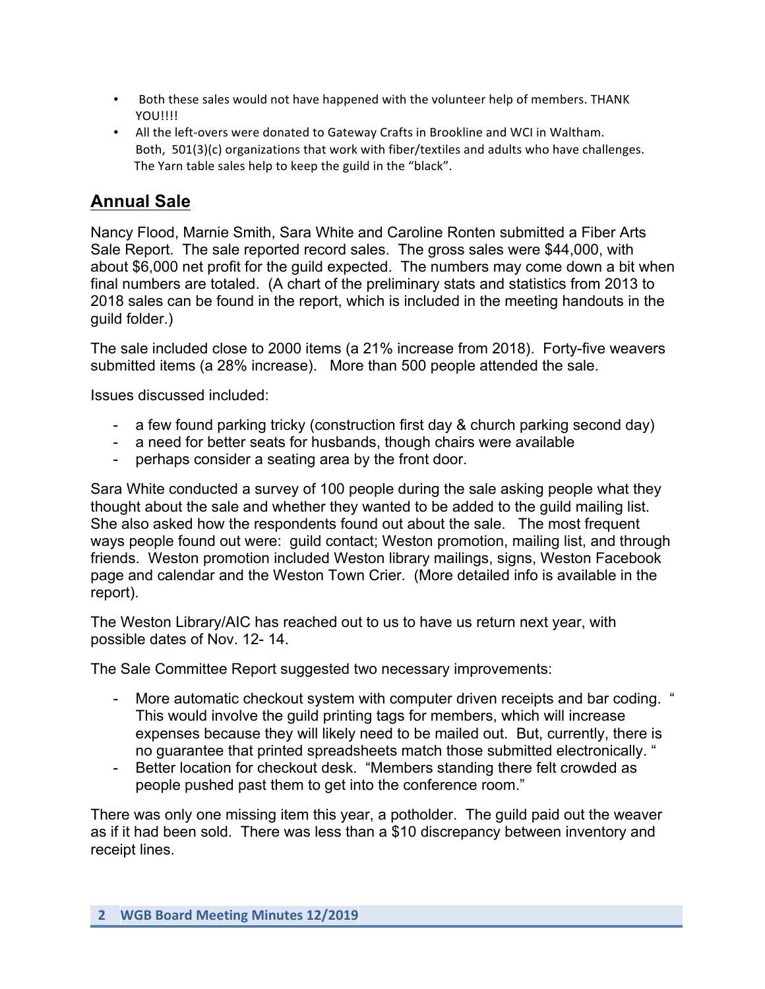- Both these sales would not have happened with the volunteer help of members. THANK YOU!!!!
- All the left-overs were donated to Gateway Crafts in Brookline and WCI in Waltham. Both,  $501(3)(c)$  organizations that work with fiber/textiles and adults who have challenges. The Yarn table sales help to keep the guild in the "black".

# **Annual Sale**

Nancy Flood, Marnie Smith, Sara White and Caroline Ronten submitted a Fiber Arts Sale Report. The sale reported record sales. The gross sales were \$44,000, with about \$6,000 net profit for the guild expected. The numbers may come down a bit when final numbers are totaled. (A chart of the preliminary stats and statistics from 2013 to 2018 sales can be found in the report, which is included in the meeting handouts in the guild folder.)

The sale included close to 2000 items (a 21% increase from 2018). Forty-five weavers submitted items (a 28% increase). More than 500 people attended the sale.

Issues discussed included:

- a few found parking tricky (construction first day & church parking second day)
- a need for better seats for husbands, though chairs were available
- perhaps consider a seating area by the front door.

Sara White conducted a survey of 100 people during the sale asking people what they thought about the sale and whether they wanted to be added to the guild mailing list. She also asked how the respondents found out about the sale. The most frequent ways people found out were: guild contact; Weston promotion, mailing list, and through friends. Weston promotion included Weston library mailings, signs, Weston Facebook page and calendar and the Weston Town Crier. (More detailed info is available in the report).

The Weston Library/AIC has reached out to us to have us return next year, with possible dates of Nov. 12- 14.

The Sale Committee Report suggested two necessary improvements:

- More automatic checkout system with computer driven receipts and bar coding. " This would involve the guild printing tags for members, which will increase expenses because they will likely need to be mailed out. But, currently, there is no guarantee that printed spreadsheets match those submitted electronically. "
- Better location for checkout desk. "Members standing there felt crowded as people pushed past them to get into the conference room."

There was only one missing item this year, a potholder. The guild paid out the weaver as if it had been sold. There was less than a \$10 discrepancy between inventory and receipt lines.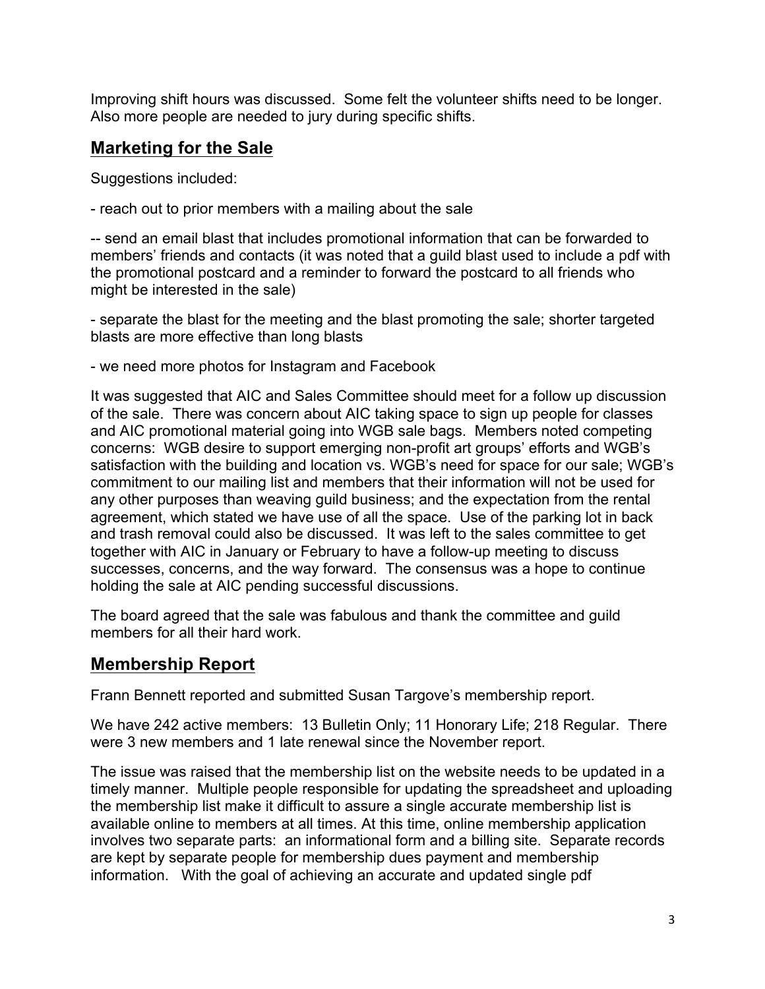Improving shift hours was discussed. Some felt the volunteer shifts need to be longer. Also more people are needed to jury during specific shifts.

# **Marketing for the Sale**

Suggestions included:

- reach out to prior members with a mailing about the sale

-- send an email blast that includes promotional information that can be forwarded to members' friends and contacts (it was noted that a guild blast used to include a pdf with the promotional postcard and a reminder to forward the postcard to all friends who might be interested in the sale)

- separate the blast for the meeting and the blast promoting the sale; shorter targeted blasts are more effective than long blasts

- we need more photos for Instagram and Facebook

It was suggested that AIC and Sales Committee should meet for a follow up discussion of the sale. There was concern about AIC taking space to sign up people for classes and AIC promotional material going into WGB sale bags. Members noted competing concerns: WGB desire to support emerging non-profit art groups' efforts and WGB's satisfaction with the building and location vs. WGB's need for space for our sale; WGB's commitment to our mailing list and members that their information will not be used for any other purposes than weaving guild business; and the expectation from the rental agreement, which stated we have use of all the space. Use of the parking lot in back and trash removal could also be discussed. It was left to the sales committee to get together with AIC in January or February to have a follow-up meeting to discuss successes, concerns, and the way forward. The consensus was a hope to continue holding the sale at AIC pending successful discussions.

The board agreed that the sale was fabulous and thank the committee and guild members for all their hard work.

## **Membership Report**

Frann Bennett reported and submitted Susan Targove's membership report.

We have 242 active members: 13 Bulletin Only; 11 Honorary Life; 218 Regular. There were 3 new members and 1 late renewal since the November report.

The issue was raised that the membership list on the website needs to be updated in a timely manner. Multiple people responsible for updating the spreadsheet and uploading the membership list make it difficult to assure a single accurate membership list is available online to members at all times. At this time, online membership application involves two separate parts: an informational form and a billing site. Separate records are kept by separate people for membership dues payment and membership information. With the goal of achieving an accurate and updated single pdf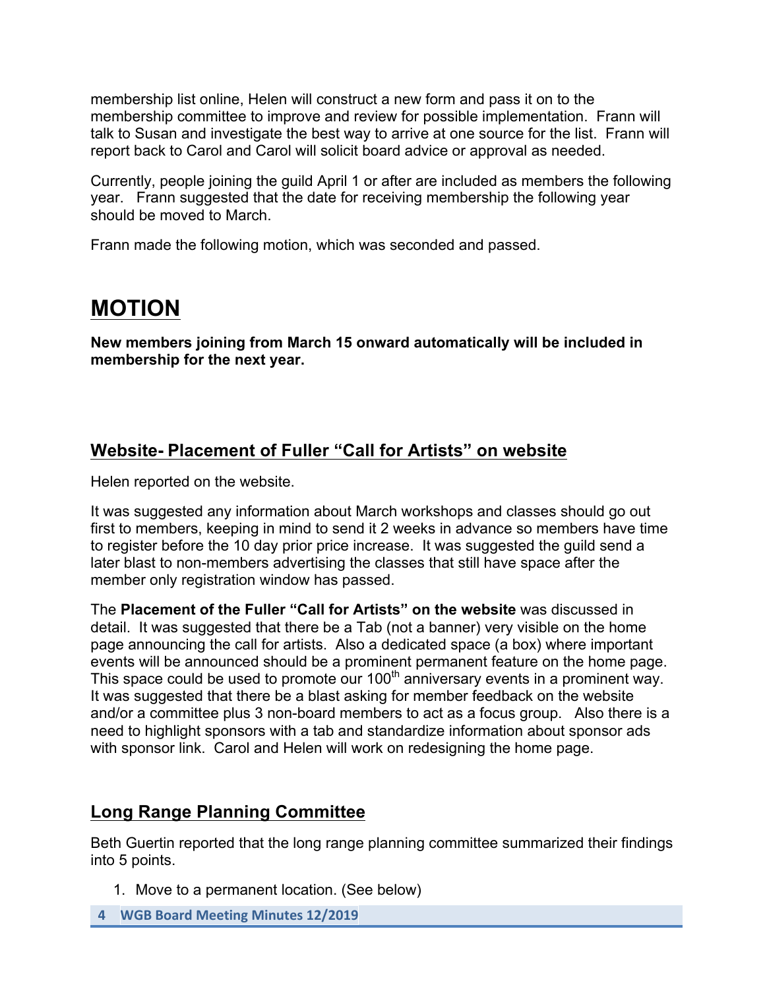membership list online, Helen will construct a new form and pass it on to the membership committee to improve and review for possible implementation. Frann will talk to Susan and investigate the best way to arrive at one source for the list. Frann will report back to Carol and Carol will solicit board advice or approval as needed.

Currently, people joining the guild April 1 or after are included as members the following year. Frann suggested that the date for receiving membership the following year should be moved to March.

Frann made the following motion, which was seconded and passed.

# **MOTION**

**New members joining from March 15 onward automatically will be included in membership for the next year.**

## **Website- Placement of Fuller "Call for Artists" on website**

Helen reported on the website.

It was suggested any information about March workshops and classes should go out first to members, keeping in mind to send it 2 weeks in advance so members have time to register before the 10 day prior price increase. It was suggested the guild send a later blast to non-members advertising the classes that still have space after the member only registration window has passed.

The **Placement of the Fuller "Call for Artists" on the website** was discussed in detail. It was suggested that there be a Tab (not a banner) very visible on the home page announcing the call for artists. Also a dedicated space (a box) where important events will be announced should be a prominent permanent feature on the home page. This space could be used to promote our  $100<sup>th</sup>$  anniversary events in a prominent way. It was suggested that there be a blast asking for member feedback on the website and/or a committee plus 3 non-board members to act as a focus group. Also there is a need to highlight sponsors with a tab and standardize information about sponsor ads with sponsor link. Carol and Helen will work on redesigning the home page.

## **Long Range Planning Committee**

Beth Guertin reported that the long range planning committee summarized their findings into 5 points.

- 1. Move to a permanent location. (See below)
- **4 WGB Board Meeting Minutes 12/2019**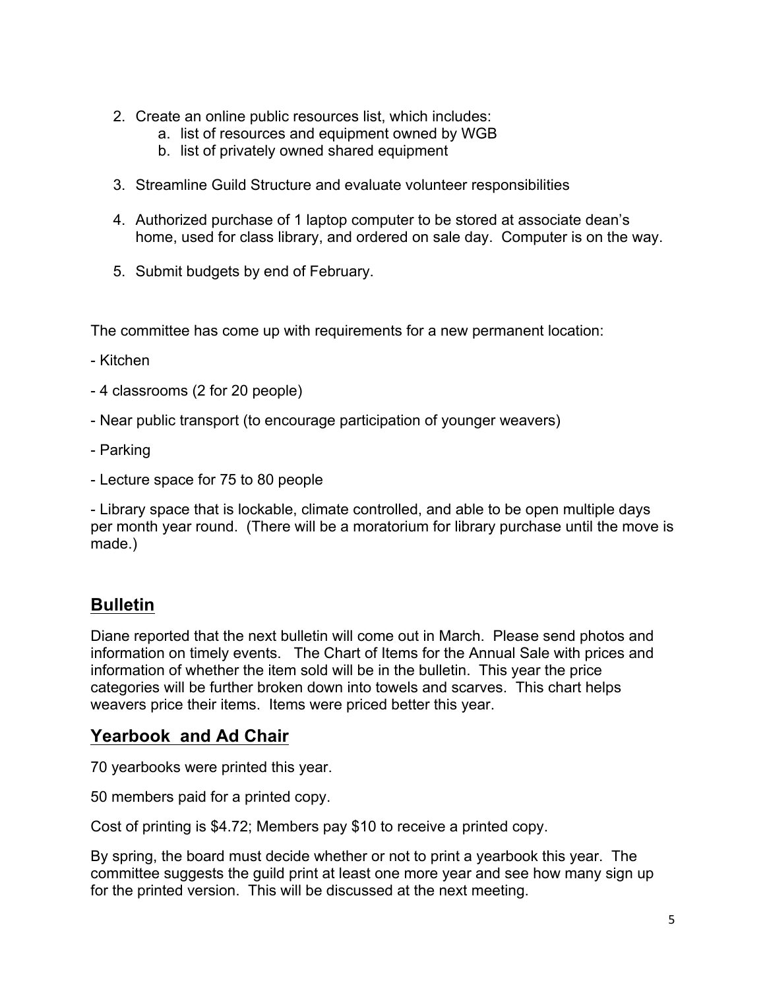- 2. Create an online public resources list, which includes:
	- a. list of resources and equipment owned by WGB
	- b. list of privately owned shared equipment
- 3. Streamline Guild Structure and evaluate volunteer responsibilities
- 4. Authorized purchase of 1 laptop computer to be stored at associate dean's home, used for class library, and ordered on sale day. Computer is on the way.
- 5. Submit budgets by end of February.

The committee has come up with requirements for a new permanent location:

- Kitchen
- 4 classrooms (2 for 20 people)
- Near public transport (to encourage participation of younger weavers)
- Parking
- Lecture space for 75 to 80 people

- Library space that is lockable, climate controlled, and able to be open multiple days per month year round. (There will be a moratorium for library purchase until the move is made.)

#### **Bulletin**

Diane reported that the next bulletin will come out in March. Please send photos and information on timely events. The Chart of Items for the Annual Sale with prices and information of whether the item sold will be in the bulletin. This year the price categories will be further broken down into towels and scarves. This chart helps weavers price their items. Items were priced better this year.

#### **Yearbook and Ad Chair**

70 yearbooks were printed this year.

50 members paid for a printed copy.

Cost of printing is \$4.72; Members pay \$10 to receive a printed copy.

By spring, the board must decide whether or not to print a yearbook this year. The committee suggests the guild print at least one more year and see how many sign up for the printed version. This will be discussed at the next meeting.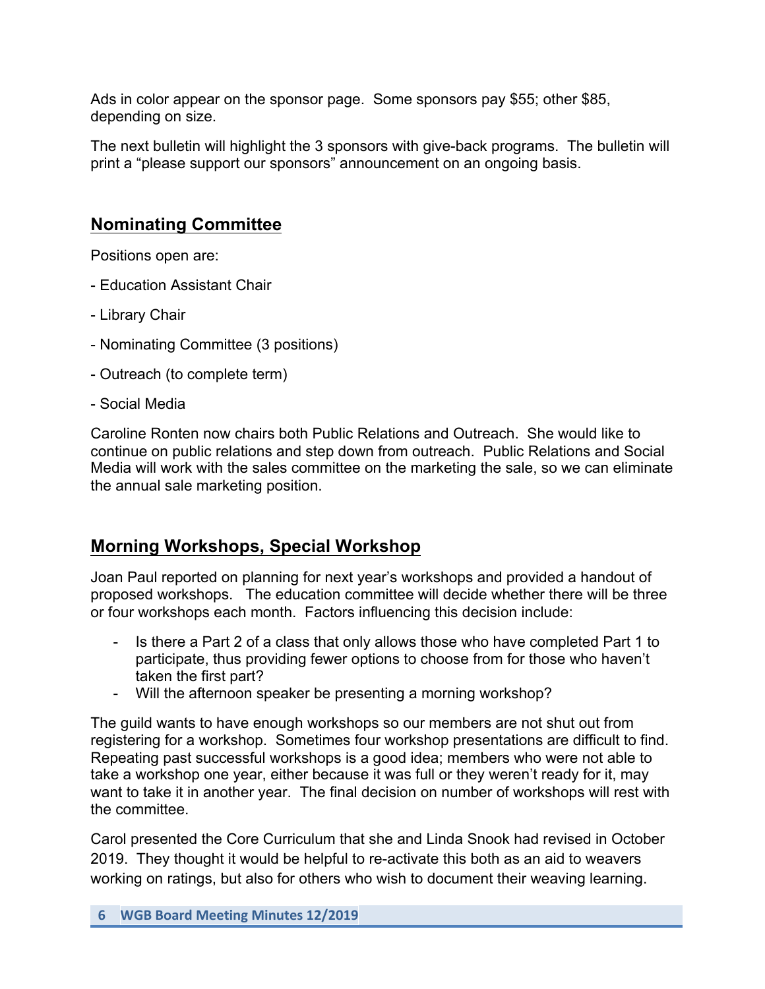Ads in color appear on the sponsor page. Some sponsors pay \$55; other \$85, depending on size.

The next bulletin will highlight the 3 sponsors with give-back programs. The bulletin will print a "please support our sponsors" announcement on an ongoing basis.

# **Nominating Committee**

Positions open are:

- Education Assistant Chair
- Library Chair
- Nominating Committee (3 positions)
- Outreach (to complete term)
- Social Media

Caroline Ronten now chairs both Public Relations and Outreach. She would like to continue on public relations and step down from outreach. Public Relations and Social Media will work with the sales committee on the marketing the sale, so we can eliminate the annual sale marketing position.

# **Morning Workshops, Special Workshop**

Joan Paul reported on planning for next year's workshops and provided a handout of proposed workshops. The education committee will decide whether there will be three or four workshops each month. Factors influencing this decision include:

- Is there a Part 2 of a class that only allows those who have completed Part 1 to participate, thus providing fewer options to choose from for those who haven't taken the first part?
- Will the afternoon speaker be presenting a morning workshop?

The guild wants to have enough workshops so our members are not shut out from registering for a workshop. Sometimes four workshop presentations are difficult to find. Repeating past successful workshops is a good idea; members who were not able to take a workshop one year, either because it was full or they weren't ready for it, may want to take it in another year. The final decision on number of workshops will rest with the committee.

Carol presented the Core Curriculum that she and Linda Snook had revised in October 2019. They thought it would be helpful to re-activate this both as an aid to weavers working on ratings, but also for others who wish to document their weaving learning.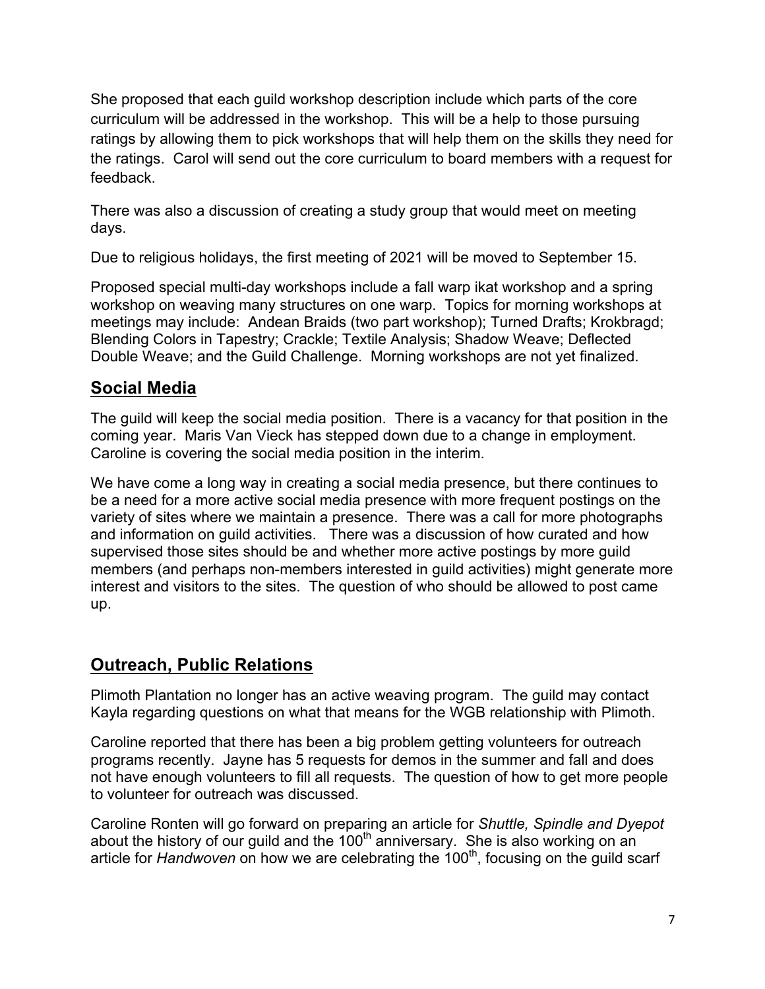She proposed that each guild workshop description include which parts of the core curriculum will be addressed in the workshop. This will be a help to those pursuing ratings by allowing them to pick workshops that will help them on the skills they need for the ratings. Carol will send out the core curriculum to board members with a request for feedback.

There was also a discussion of creating a study group that would meet on meeting days.

Due to religious holidays, the first meeting of 2021 will be moved to September 15.

Proposed special multi-day workshops include a fall warp ikat workshop and a spring workshop on weaving many structures on one warp. Topics for morning workshops at meetings may include: Andean Braids (two part workshop); Turned Drafts; Krokbragd; Blending Colors in Tapestry; Crackle; Textile Analysis; Shadow Weave; Deflected Double Weave; and the Guild Challenge. Morning workshops are not yet finalized.

# **Social Media**

The guild will keep the social media position. There is a vacancy for that position in the coming year. Maris Van Vieck has stepped down due to a change in employment. Caroline is covering the social media position in the interim.

We have come a long way in creating a social media presence, but there continues to be a need for a more active social media presence with more frequent postings on the variety of sites where we maintain a presence. There was a call for more photographs and information on guild activities. There was a discussion of how curated and how supervised those sites should be and whether more active postings by more guild members (and perhaps non-members interested in guild activities) might generate more interest and visitors to the sites. The question of who should be allowed to post came up.

# **Outreach, Public Relations**

Plimoth Plantation no longer has an active weaving program. The guild may contact Kayla regarding questions on what that means for the WGB relationship with Plimoth.

Caroline reported that there has been a big problem getting volunteers for outreach programs recently. Jayne has 5 requests for demos in the summer and fall and does not have enough volunteers to fill all requests. The question of how to get more people to volunteer for outreach was discussed.

Caroline Ronten will go forward on preparing an article for *Shuttle, Spindle and Dyepot* about the history of our guild and the  $100<sup>th</sup>$  anniversary. She is also working on an article for *Handwoven* on how we are celebrating the 100<sup>th</sup>, focusing on the quild scarf